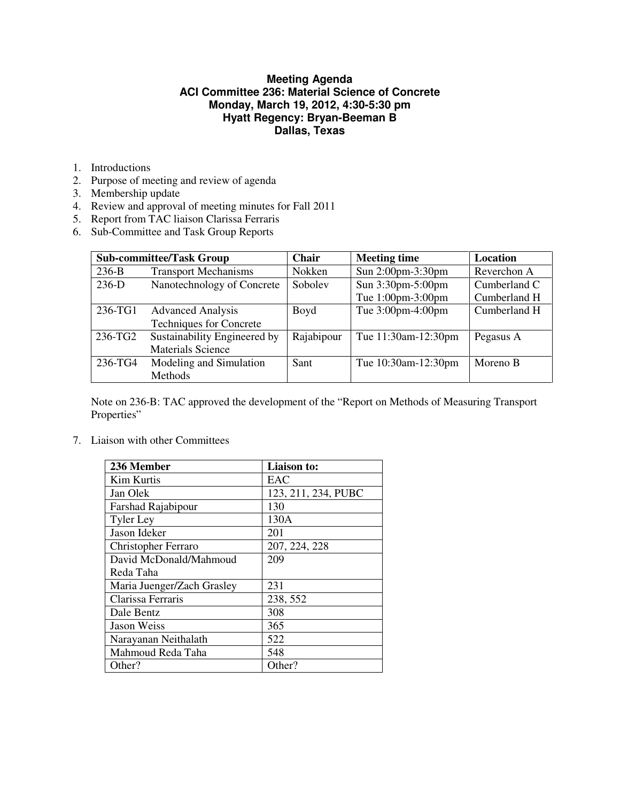# **Meeting Agenda ACI Committee 236: Material Science of Concrete Monday, March 19, 2012, 4:30-5:30 pm Hyatt Regency: Bryan-Beeman B Dallas, Texas**

- 1. Introductions
- 2. Purpose of meeting and review of agenda
- 3. Membership update
- 4. Review and approval of meeting minutes for Fall 2011
- 5. Report from TAC liaison Clarissa Ferraris
- 6. Sub-Committee and Task Group Reports

| <b>Sub-committee/Task Group</b> |                                | <b>Chair</b> | <b>Meeting time</b> | Location     |
|---------------------------------|--------------------------------|--------------|---------------------|--------------|
| $236-B$                         | <b>Transport Mechanisms</b>    | Nokken       | Sun 2:00pm-3:30pm   | Reverchon A  |
| $236-D$                         | Nanotechnology of Concrete     | Sobolev      | Sun 3:30pm-5:00pm   | Cumberland C |
|                                 |                                |              | Tue 1:00pm-3:00pm   | Cumberland H |
| 236-TG1                         | <b>Advanced Analysis</b>       | Boyd         | Tue 3:00pm-4:00pm   | Cumberland H |
|                                 | <b>Techniques for Concrete</b> |              |                     |              |
| 236-TG2                         | Sustainability Engineered by   | Rajabipour   | Tue 11:30am-12:30pm | Pegasus A    |
|                                 | <b>Materials Science</b>       |              |                     |              |
| 236-TG4                         | Modeling and Simulation        | Sant         | Tue 10:30am-12:30pm | Moreno B     |
|                                 | Methods                        |              |                     |              |

Note on 236-B: TAC approved the development of the "Report on Methods of Measuring Transport Properties"

7. Liaison with other Committees

| 236 Member                 | <b>Liaison to:</b>  |  |
|----------------------------|---------------------|--|
| Kim Kurtis                 | EAC                 |  |
| Jan Olek                   | 123, 211, 234, PUBC |  |
| Farshad Rajabipour         | 130                 |  |
| <b>Tyler Ley</b>           | 130A                |  |
| Jason Ideker               | 201                 |  |
| <b>Christopher Ferraro</b> | 207, 224, 228       |  |
| David McDonald/Mahmoud     | 209                 |  |
| Reda Taha                  |                     |  |
| Maria Juenger/Zach Grasley | 231                 |  |
| Clarissa Ferraris          | 238, 552            |  |
| Dale Bentz                 | 308                 |  |
| <b>Jason Weiss</b>         | 365                 |  |
| Narayanan Neithalath       | 522                 |  |
| Mahmoud Reda Taha          | 548                 |  |
| Other?                     | Other?              |  |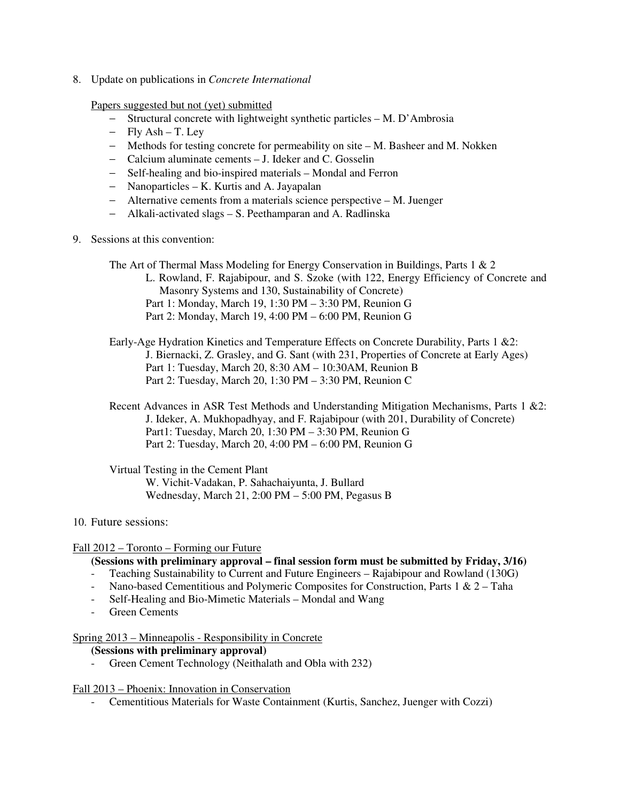8. Update on publications in *Concrete International*

Papers suggested but not (yet) submitted

- − Structural concrete with lightweight synthetic particles M. D'Ambrosia
- − Fly Ash T. Ley
- − Methods for testing concrete for permeability on site M. Basheer and M. Nokken
- − Calcium aluminate cements J. Ideker and C. Gosselin
- − Self-healing and bio-inspired materials Mondal and Ferron
- − Nanoparticles K. Kurtis and A. Jayapalan
- − Alternative cements from a materials science perspective M. Juenger
- − Alkali-activated slags S. Peethamparan and A. Radlinska
- 9. Sessions at this convention:
	- The Art of Thermal Mass Modeling for Energy Conservation in Buildings, Parts 1 & 2 L. Rowland, F. Rajabipour, and S. Szoke (with 122, Energy Efficiency of Concrete and Masonry Systems and 130, Sustainability of Concrete) Part 1: Monday, March 19, 1:30 PM – 3:30 PM, Reunion G Part 2: Monday, March 19, 4:00 PM – 6:00 PM, Reunion G
	- Early-Age Hydration Kinetics and Temperature Effects on Concrete Durability, Parts 1 &2: J. Biernacki, Z. Grasley, and G. Sant (with 231, Properties of Concrete at Early Ages) Part 1: Tuesday, March 20, 8:30 AM – 10:30AM, Reunion B Part 2: Tuesday, March 20, 1:30 PM – 3:30 PM, Reunion C
	- Recent Advances in ASR Test Methods and Understanding Mitigation Mechanisms, Parts 1 &2: J. Ideker, A. Mukhopadhyay, and F. Rajabipour (with 201, Durability of Concrete) Part1: Tuesday, March 20, 1:30 PM – 3:30 PM, Reunion G Part 2: Tuesday, March 20, 4:00 PM – 6:00 PM, Reunion G

Virtual Testing in the Cement Plant W. Vichit-Vadakan, P. Sahachaiyunta, J. Bullard Wednesday, March 21, 2:00 PM – 5:00 PM, Pegasus B

## 10. Future sessions:

## Fall 2012 – Toronto – Forming our Future

## **(Sessions with preliminary approval – final session form must be submitted by Friday, 3/16)**

- Teaching Sustainability to Current and Future Engineers Rajabipour and Rowland (130G)
- Nano-based Cementitious and Polymeric Composites for Construction, Parts  $1 \& 2$  Taha
- Self-Healing and Bio-Mimetic Materials Mondal and Wang
- Green Cements

## Spring 2013 – Minneapolis - Responsibility in Concrete

## **(Sessions with preliminary approval)**

- Green Cement Technology (Neithalath and Obla with 232)

## Fall 2013 – Phoenix: Innovation in Conservation

- Cementitious Materials for Waste Containment (Kurtis, Sanchez, Juenger with Cozzi)